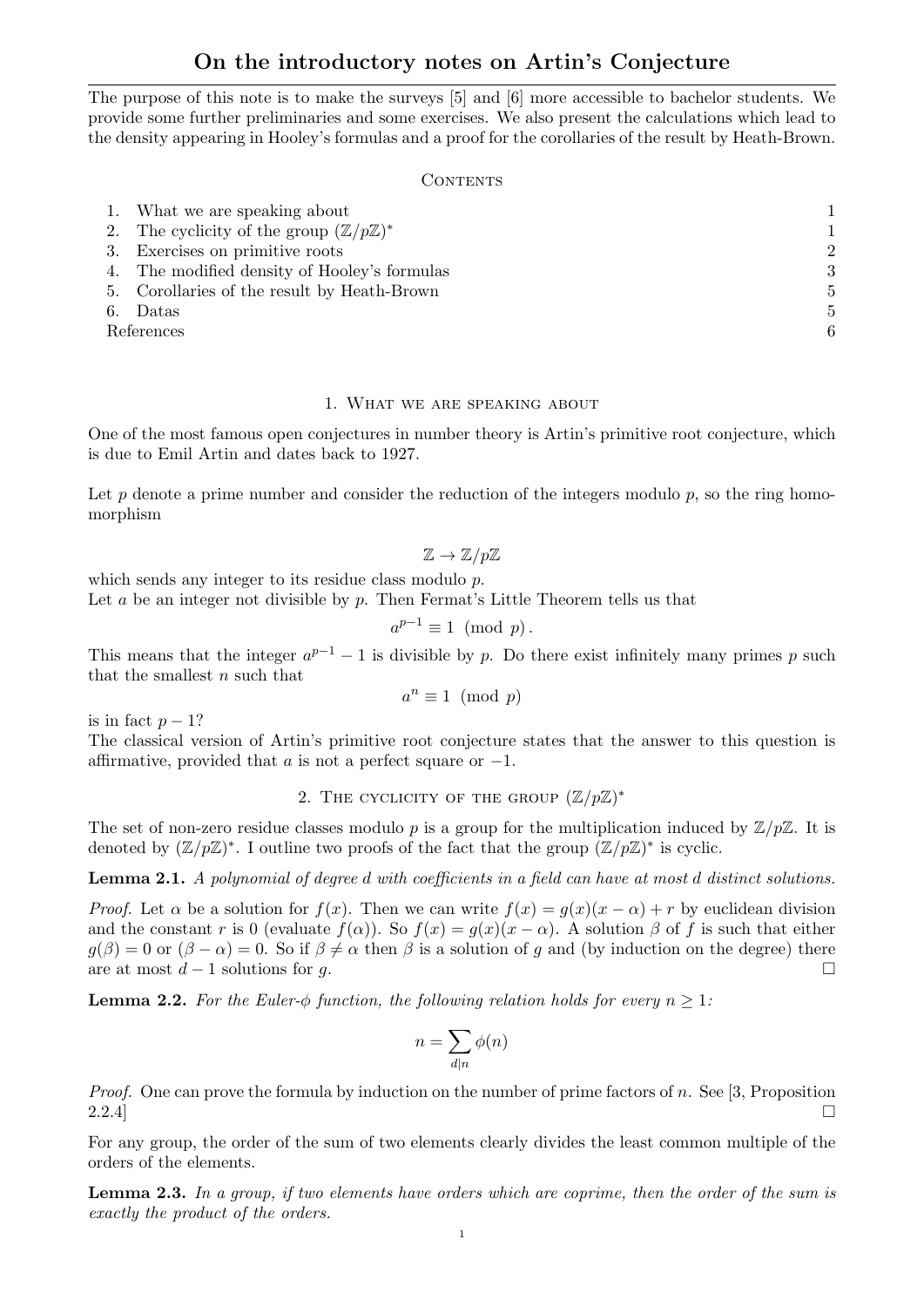# On the introductory notes on Artin's Conjecture

The purpose of this note is to make the surveys [5] and [6] more accessible to bachelor students. We provide some further preliminaries and some exercises. We also present the calculations which lead to the density appearing in Hooley's formulas and a proof for the corollaries of the result by Heath-Brown.

#### **CONTENTS**

|            | 1. What we are speaking about                              |                |
|------------|------------------------------------------------------------|----------------|
|            | 2. The cyclicity of the group $(\mathbb{Z}/p\mathbb{Z})^*$ |                |
|            | 3. Exercises on primitive roots                            | $\overline{2}$ |
|            | 4. The modified density of Hooley's formulas               | 3              |
|            | 5. Corollaries of the result by Heath-Brown                | 5              |
| 6.         | Datas                                                      | 5              |
| References |                                                            | 6              |

#### 1. What we are speaking about

One of the most famous open conjectures in number theory is Artin's primitive root conjecture, which is due to Emil Artin and dates back to 1927.

Let  $p$  denote a prime number and consider the reduction of the integers modulo  $p$ , so the ring homomorphism

$$
\mathbb{Z} \to \mathbb{Z}/p\mathbb{Z}
$$

which sends any integer to its residue class modulo p.

Let  $a$  be an integer not divisible by  $p$ . Then Fermat's Little Theorem tells us that

$$
a^{p-1} \equiv 1 \pmod{p}.
$$

This means that the integer  $a^{p-1} - 1$  is divisible by p. Do there exist infinitely many primes p such that the smallest  $n$  such that

$$
a^n \equiv 1 \pmod{p}
$$

is in fact  $p-1$ ?

The classical version of Artin's primitive root conjecture states that the answer to this question is affirmative, provided that a is not a perfect square or  $-1$ .

2. THE CYCLICITY OF THE GROUP  $(\mathbb{Z}/p\mathbb{Z})^*$ 

The set of non-zero residue classes modulo p is a group for the multiplication induced by  $\mathbb{Z}/p\mathbb{Z}$ . It is denoted by  $(\mathbb{Z}/p\mathbb{Z})^*$ . I outline two proofs of the fact that the group  $(\mathbb{Z}/p\mathbb{Z})^*$  is cyclic.

Lemma 2.1. A polynomial of degree d with coefficients in a field can have at most d distinct solutions.

*Proof.* Let  $\alpha$  be a solution for  $f(x)$ . Then we can write  $f(x) = g(x)(x - \alpha) + r$  by euclidean division and the constant r is 0 (evaluate  $f(\alpha)$ ). So  $f(x) = g(x)(x - \alpha)$ . A solution  $\beta$  of f is such that either  $g(\beta) = 0$  or  $(\beta - \alpha) = 0$ . So if  $\beta \neq \alpha$  then  $\beta$  is a solution of g and (by induction on the degree) there are at most  $d-1$  solutions for g.

**Lemma 2.2.** For the Euler- $\phi$  function, the following relation holds for every  $n \geq 1$ :

$$
n = \sum_{d|n} \phi(n)
$$

*Proof.* One can prove the formula by induction on the number of prime factors of n. See [3, Proposition  $2.2.4$ ]

For any group, the order of the sum of two elements clearly divides the least common multiple of the orders of the elements.

Lemma 2.3. In a group, if two elements have orders which are coprime, then the order of the sum is exactly the product of the orders.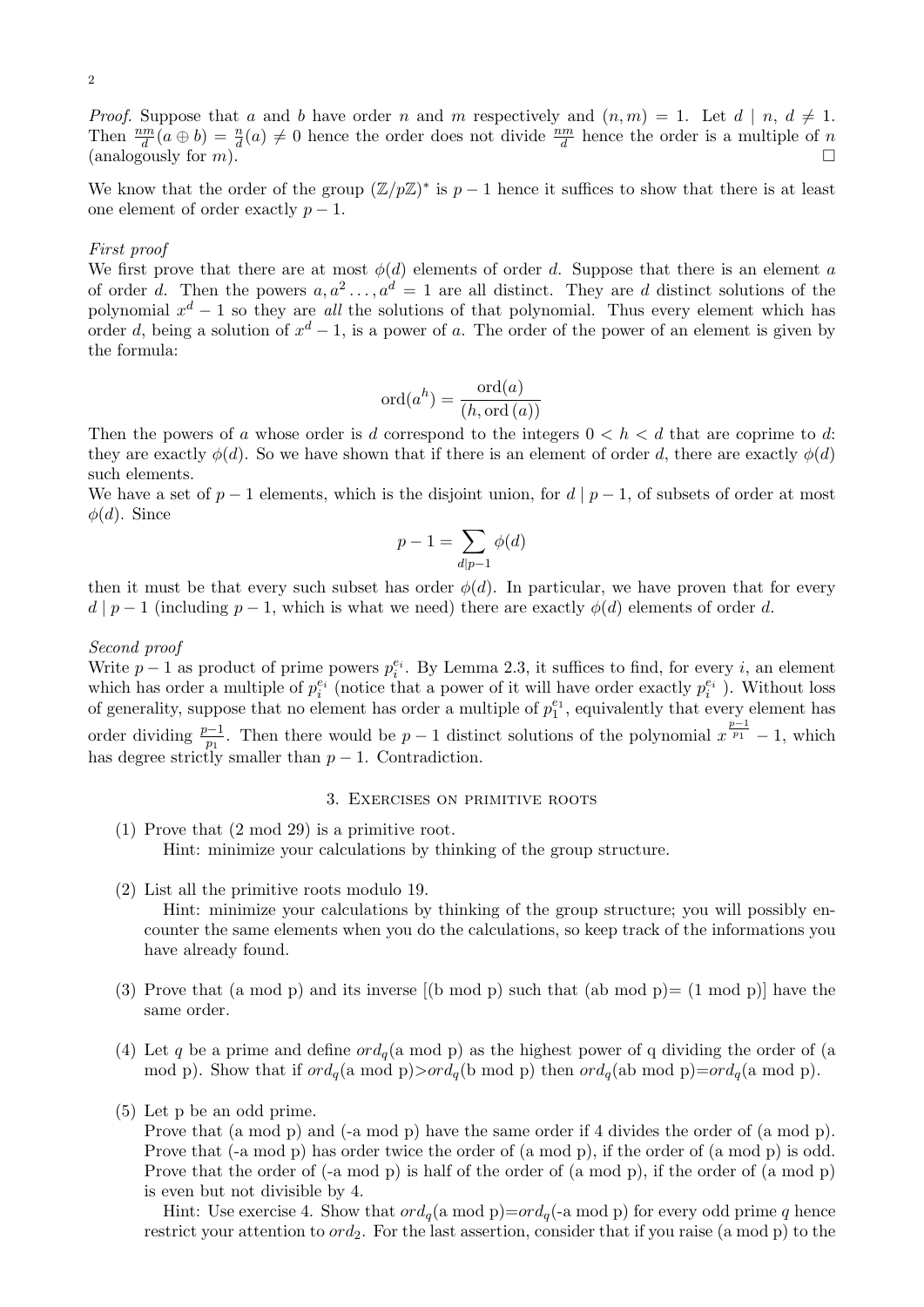*Proof.* Suppose that a and b have order n and m respectively and  $(n, m) = 1$ . Let  $d | n, d \neq 1$ . Then  $\frac{nm}{d}(a \oplus b) = \frac{n}{d}(a) \neq 0$  hence the order does not divide  $\frac{nm}{d}$  hence the order is a multiple of n (analogously for  $m$ ).

We know that the order of the group  $(\mathbb{Z}/p\mathbb{Z})^*$  is  $p-1$  hence it suffices to show that there is at least one element of order exactly  $p-1$ .

### First proof

We first prove that there are at most  $\phi(d)$  elements of order d. Suppose that there is an element a of order d. Then the powers  $a, a^2, \ldots, a^d = 1$  are all distinct. They are d distinct solutions of the polynomial  $x^d - 1$  so they are all the solutions of that polynomial. Thus every element which has order d, being a solution of  $x^d - 1$ , is a power of a. The order of the power of an element is given by the formula:

$$
ord(a^h) = \frac{ord(a)}{(h, ord(a))}
$$

Then the powers of a whose order is d correspond to the integers  $0 < h < d$  that are coprime to d: they are exactly  $\phi(d)$ . So we have shown that if there is an element of order d, there are exactly  $\phi(d)$ such elements.

We have a set of  $p-1$  elements, which is the disjoint union, for  $d | p-1$ , of subsets of order at most  $\phi(d)$ . Since

$$
p - 1 = \sum_{d \mid p-1} \phi(d)
$$

then it must be that every such subset has order  $\phi(d)$ . In particular, we have proven that for every  $d | p - 1$  (including  $p - 1$ , which is what we need) there are exactly  $\phi(d)$  elements of order d.

#### Second proof

Write  $p-1$  as product of prime powers  $p_i^{e_i}$ . By Lemma 2.3, it suffices to find, for every i, an element which has order a multiple of  $p_i^{e_i}$  (notice that a power of it will have order exactly  $p_i^{e_i}$ ). Without loss of generality, suppose that no element has order a multiple of  $p_1^{e_1}$ , equivalently that every element has order dividing  $\frac{p-1}{p_1}$ . Then there would be  $p-1$  distinct solutions of the polynomial  $x^{\frac{p-1}{p_1}}-1$ , which has degree strictly smaller than  $p-1$ . Contradiction.

#### 3. Exercises on primitive roots

- (1) Prove that (2 mod 29) is a primitive root. Hint: minimize your calculations by thinking of the group structure.
- (2) List all the primitive roots modulo 19.

Hint: minimize your calculations by thinking of the group structure; you will possibly encounter the same elements when you do the calculations, so keep track of the informations you have already found.

- (3) Prove that (a mod p) and its inverse  $[(b \mod p) \mod p]$  such that (ab mod p)  $[1 \mod p]$  have the same order.
- (4) Let q be a prime and define  $\partial d_q$  (a mod p) as the highest power of q dividing the order of (a mod p). Show that if  $\text{ord}_q(a \mod p) > \text{ord}_q(b \mod p)$  then  $\text{ord}_q(ab \mod p) = \text{ord}_q(a \mod p)$ .
- (5) Let p be an odd prime.

Prove that (a mod p) and (-a mod p) have the same order if 4 divides the order of (a mod p). Prove that (-a mod p) has order twice the order of (a mod p), if the order of (a mod p) is odd. Prove that the order of (-a mod p) is half of the order of (a mod p), if the order of (a mod p) is even but not divisible by 4.

Hint: Use exercise 4. Show that  $\text{ord}_q(a \mod p) = \text{ord}_q(-a \mod p)$  for every odd prime q hence restrict your attention to  $ord_2$ . For the last assertion, consider that if you raise (a mod p) to the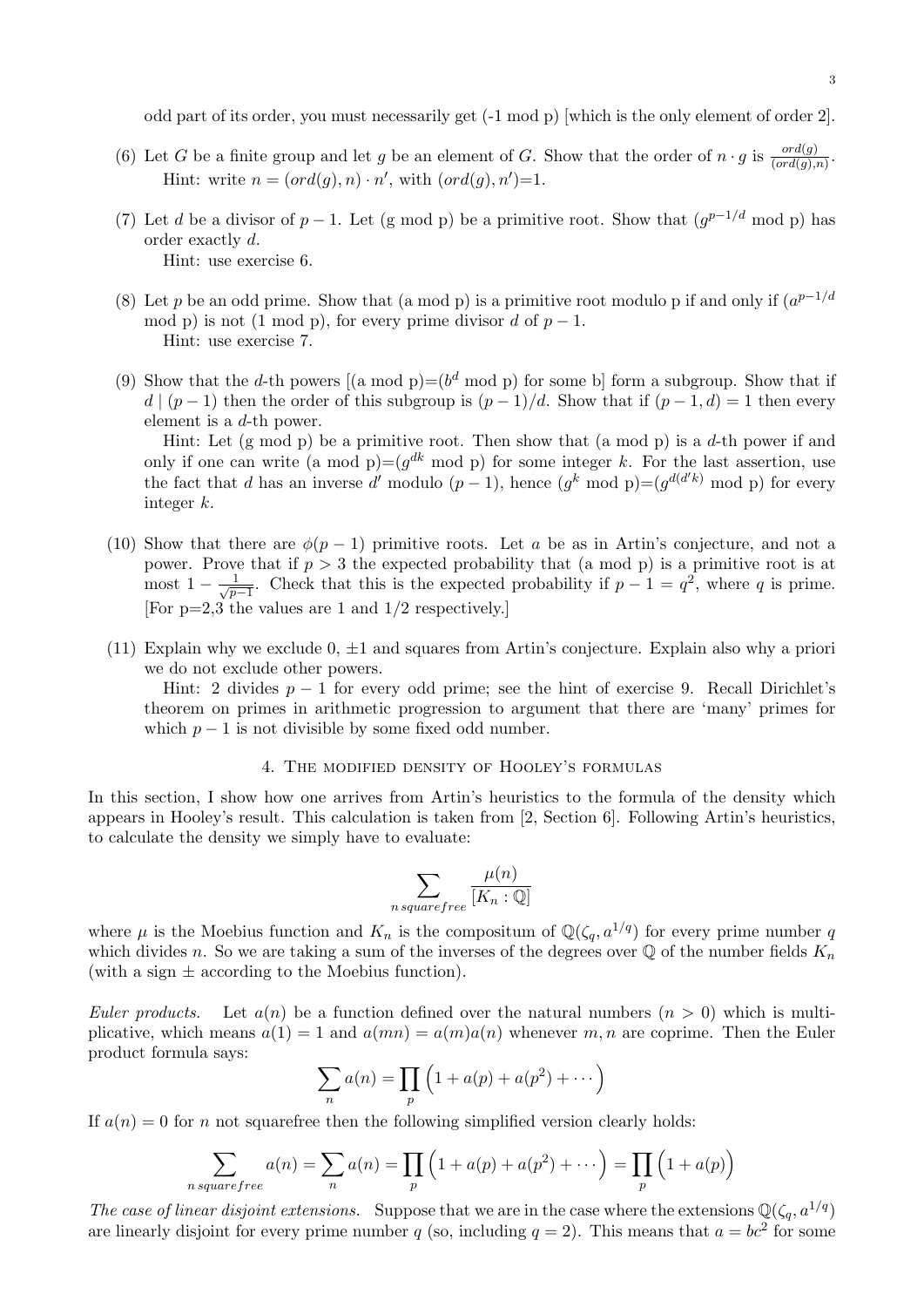odd part of its order, you must necessarily get (-1 mod p) [which is the only element of order 2].

- (6) Let G be a finite group and let g be an element of G. Show that the order of  $n \cdot g$  is  $\frac{ord(g)}{(ord(g),n)}$ . Hint: write  $n = (ord(g), n) \cdot n'$ , with  $(ord(g), n')=1$ .
- (7) Let d be a divisor of  $p-1$ . Let (g mod p) be a primitive root. Show that  $(g^{p-1/d} \mod p)$  has order exactly d. Hint: use exercise 6.
- (8) Let p be an odd prime. Show that (a mod p) is a primitive root modulo p if and only if  $(a^{p-1/d})$ mod p) is not (1 mod p), for every prime divisor d of  $p-1$ . Hint: use exercise 7.
- (9) Show that the d-th powers  $[(a \mod p) = (b^d \mod p)$  for some b] form a subgroup. Show that if  $d \mid (p-1)$  then the order of this subgroup is  $(p-1)/d$ . Show that if  $(p-1, d) = 1$  then every element is a d-th power.

Hint: Let  $(g \mod p)$  be a primitive root. Then show that  $(a \mod p)$  is a d-th power if and only if one can write (a mod p)= $(g^{dk} \mod p)$  for some integer k. For the last assertion, use the fact that d has an inverse d' modulo  $(p-1)$ , hence  $(g^k \mod p) = (g^{d(d'k)} \mod p)$  for every integer k.

- (10) Show that there are  $\phi(p-1)$  primitive roots. Let a be as in Artin's conjecture, and not a power. Prove that if  $p > 3$  the expected probability that (a mod p) is a primitive root is at most  $1 - \frac{1}{\sqrt{n}}$  $\frac{1}{p-1}$ . Check that this is the expected probability if  $p-1 = q^2$ , where q is prime. [For p=2,3 the values are 1 and 1/2 respectively.]
- (11) Explain why we exclude  $0, \pm 1$  and squares from Artin's conjecture. Explain also why a priori we do not exclude other powers.

Hint: 2 divides  $p - 1$  for every odd prime; see the hint of exercise 9. Recall Dirichlet's theorem on primes in arithmetic progression to argument that there are 'many' primes for which  $p - 1$  is not divisible by some fixed odd number.

#### 4. The modified density of Hooley's formulas

In this section, I show how one arrives from Artin's heuristics to the formula of the density which appears in Hooley's result. This calculation is taken from [2, Section 6]. Following Artin's heuristics, to calculate the density we simply have to evaluate:

$$
\sum_{n \, squarefree} \frac{\mu(n)}{[K_n:\mathbb{Q}]}
$$

where  $\mu$  is the Moebius function and  $K_n$  is the compositum of  $\mathbb{Q}(\zeta_q, a^{1/q})$  for every prime number q which divides n. So we are taking a sum of the inverses of the degrees over  $\mathbb Q$  of the number fields  $K_n$ (with a sign  $\pm$  according to the Moebius function).

Euler products. Let  $a(n)$  be a function defined over the natural numbers  $(n > 0)$  which is multiplicative, which means  $a(1) = 1$  and  $a(mn) = a(m)a(n)$  whenever m, n are coprime. Then the Euler product formula says:

$$
\sum_{n} a(n) = \prod_{p} \left( 1 + a(p) + a(p^{2}) + \cdots \right)
$$

If  $a(n) = 0$  for n not squarefree then the following simplified version clearly holds:

$$
\sum_{n \, squarefree} a(n) = \sum_{n} a(n) = \prod_{p} \left( 1 + a(p) + a(p^2) + \dots \right) = \prod_{p} \left( 1 + a(p) \right)
$$

The case of linear disjoint extensions. Suppose that we are in the case where the extensions  $\mathbb{Q}(\zeta_q, a^{1/q})$ are linearly disjoint for every prime number q (so, including  $q = 2$ ). This means that  $a = bc^2$  for some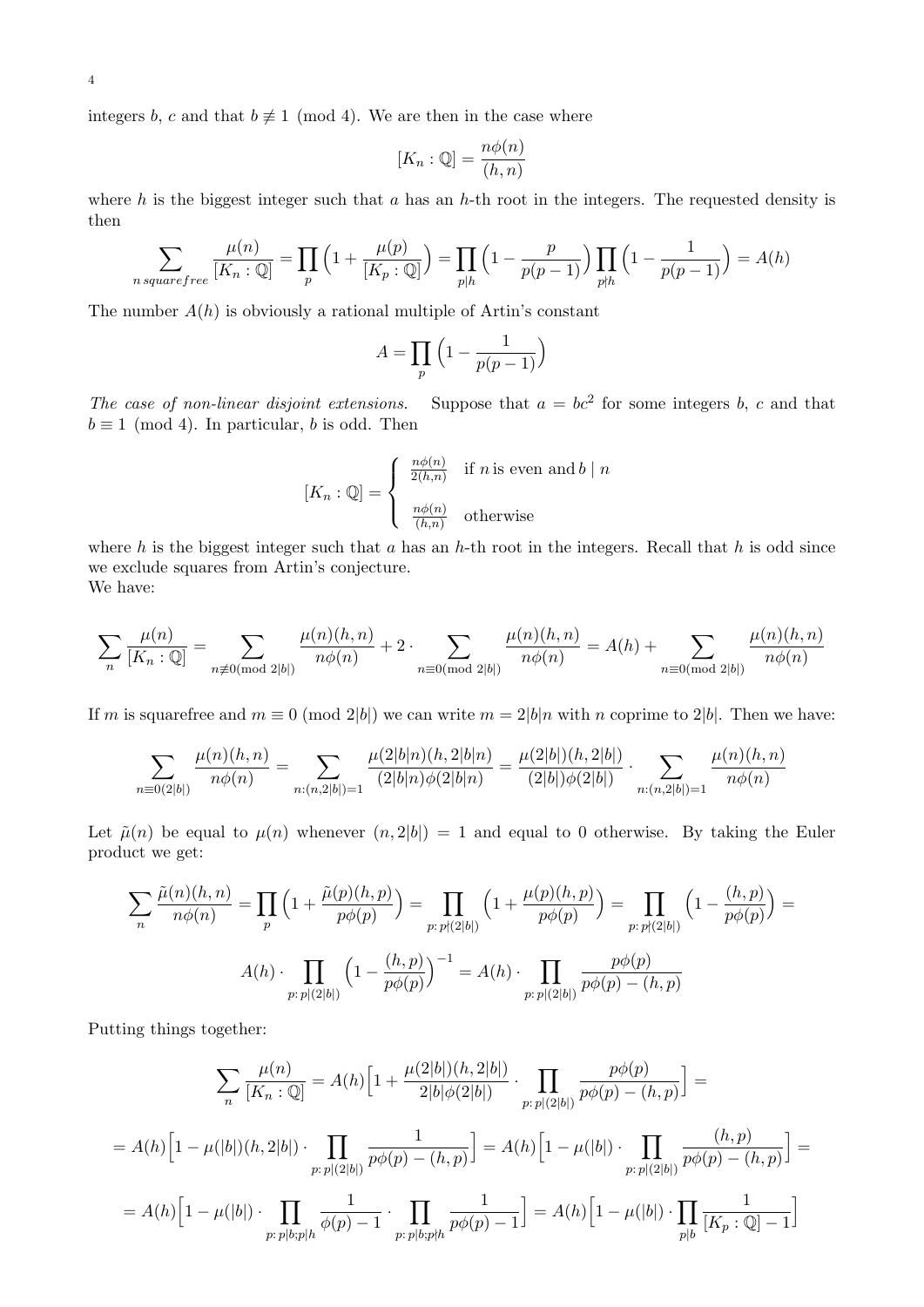integers b, c and that  $b \neq 1 \pmod{4}$ . We are then in the case where

$$
[K_n : \mathbb{Q}] = \frac{n\phi(n)}{(h,n)}
$$

where h is the biggest integer such that a has an h-th root in the integers. The requested density is then

$$
\sum_{n \, squarefree} \frac{\mu(n)}{[K_n : \mathbb{Q}]} = \prod_p \left(1 + \frac{\mu(p)}{[K_p : \mathbb{Q}]} \right) = \prod_{p \mid h} \left(1 - \frac{p}{p(p-1)} \right) \prod_{p \nmid h} \left(1 - \frac{1}{p(p-1)} \right) = A(h)
$$

The number  $A(h)$  is obviously a rational multiple of Artin's constant

$$
A = \prod_{p} \left( 1 - \frac{1}{p(p-1)} \right)
$$

The case of non-linear disjoint extensions. Suppose that  $a = bc^2$  for some integers b, c and that  $b \equiv 1 \pmod{4}$ . In particular, b is odd. Then

$$
[K_n : \mathbb{Q}] = \begin{cases} \frac{n\phi(n)}{2(h,n)} & \text{if } n \text{ is even and } b \mid n \\ \frac{n\phi(n)}{(h,n)} & \text{otherwise} \end{cases}
$$

where h is the biggest integer such that a has an h-th root in the integers. Recall that h is odd since we exclude squares from Artin's conjecture.

We have:

$$
\sum_{n} \frac{\mu(n)}{[K_n : \mathbb{Q}]} = \sum_{n \not\equiv 0 \pmod{2|b|}} \frac{\mu(n)(h, n)}{n\phi(n)} + 2 \cdot \sum_{n \equiv 0 \pmod{2|b|}} \frac{\mu(n)(h, n)}{n\phi(n)} = A(h) + \sum_{n \equiv 0 \pmod{2|b|}} \frac{\mu(n)(h, n)}{n\phi(n)}
$$

If m is squarefree and  $m \equiv 0 \pmod{2|b|}$  we can write  $m = 2|b|n$  with n coprime to 2|b|. Then we have:

$$
\sum_{n\equiv 0(2|b|)} \frac{\mu(n)(h,n)}{n\phi(n)} = \sum_{n:(n,2|b|)=1} \frac{\mu(2|b|n)(h,2|b|n)}{(2|b|n)\phi(2|b|n)} = \frac{\mu(2|b|)(h,2|b|)}{(2|b|)\phi(2|b|)} \cdot \sum_{n:(n,2|b|)=1} \frac{\mu(n)(h,n)}{n\phi(n)}
$$

Let  $\tilde{\mu}(n)$  be equal to  $\mu(n)$  whenever  $(n, 2|b|) = 1$  and equal to 0 otherwise. By taking the Euler product we get:

$$
\sum_{n} \frac{\tilde{\mu}(n)(h,n)}{n\phi(n)} = \prod_{p} \left(1 + \frac{\tilde{\mu}(p)(h,p)}{p\phi(p)}\right) = \prod_{p:\, p\nmid (2|b|)} \left(1 + \frac{\mu(p)(h,p)}{p\phi(p)}\right) = \prod_{p:\, p\nmid (2|b|)} \left(1 - \frac{(h,p)}{p\phi(p)}\right) =
$$

$$
A(h) \cdot \prod_{p:\, p|(2|b|)} \left(1 - \frac{(h,p)}{p\phi(p)}\right)^{-1} = A(h) \cdot \prod_{p:\, p|(2|b|)} \frac{p\phi(p)}{p\phi(p) - (h,p)}
$$

Putting things together:

$$
\sum_{n} \frac{\mu(n)}{[K_n : \mathbb{Q}]} = A(h) \Big[ 1 + \frac{\mu(2|b|)(h, 2|b|)}{2|b|\phi(2|b|)} \cdot \prod_{p: p|(2|b|)} \frac{p\phi(p)}{p\phi(p) - (h, p)} \Big] =
$$
  
=  $A(h) \Big[ 1 - \mu(|b|)(h, 2|b|) \cdot \prod_{p: p|(2|b|)} \frac{1}{p\phi(p) - (h, p)} \Big] = A(h) \Big[ 1 - \mu(|b|) \cdot \prod_{p: p|(2|b|)} \frac{(h, p)}{p\phi(p) - (h, p)} \Big] =$   
=  $A(h) \Big[ 1 - \mu(|b|) \cdot \prod_{p: p|b: p|h} \frac{1}{\phi(p) - 1} \cdot \prod_{p: p|b: p\nmid h} \frac{1}{p\phi(p) - 1} \Big] = A(h) \Big[ 1 - \mu(|b|) \cdot \prod_{p|b} \frac{1}{[K_p : \mathbb{Q}] - 1} \Big]$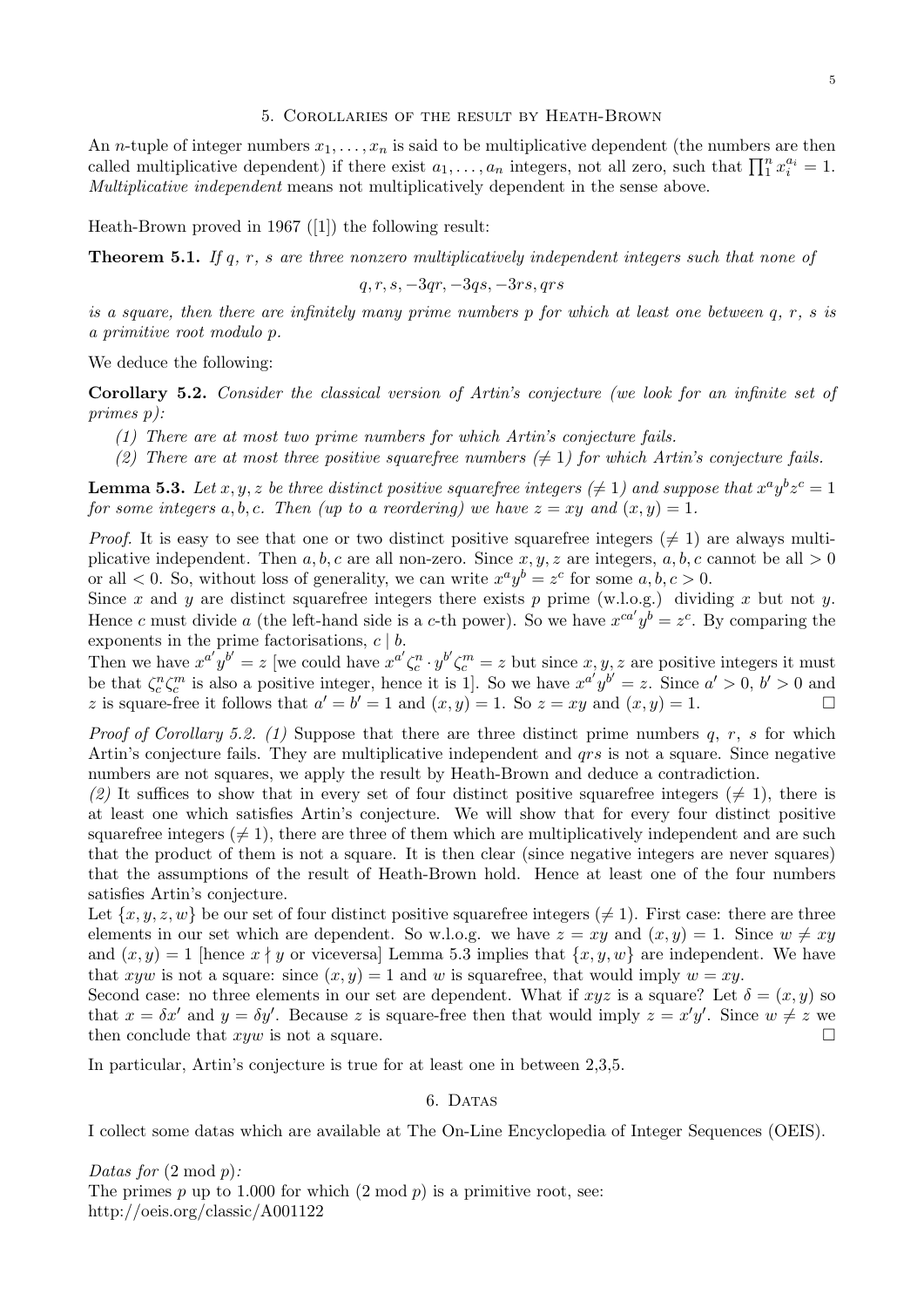#### 5. Corollaries of the result by Heath-Brown

An *n*-tuple of integer numbers  $x_1, \ldots, x_n$  is said to be multiplicative dependent (the numbers are then called multiplicative dependent) if there exist  $a_1, \ldots, a_n$  integers, not all zero, such that  $\prod_1^n x_i^{a_i} = 1$ . Multiplicative independent means not multiplicatively dependent in the sense above.

Heath-Brown proved in 1967 ([1]) the following result:

**Theorem 5.1.** If q, r, s are three nonzero multiplicatively independent integers such that none of

$$
q, r, s, -3qr, -3qs, -3rs, qrs
$$

is a square, then there are infinitely many prime numbers  $p$  for which at least one between  $q, r, s$  is a primitive root modulo p.

We deduce the following:

Corollary 5.2. Consider the classical version of Artin's conjecture (we look for an infinite set of primes p):

- (1) There are at most two prime numbers for which Artin's conjecture fails.
- (2) There are at most three positive squarefree numbers  $(\neq 1)$  for which Artin's conjecture fails.

**Lemma 5.3.** Let x, y, z be three distinct positive squarefree integers ( $\neq$  1) and suppose that  $x^a y^b z^c = 1$ for some integers a, b, c. Then (up to a reordering) we have  $z = xy$  and  $(x, y) = 1$ .

*Proof.* It is easy to see that one or two distinct positive squarefree integers  $(\neq 1)$  are always multiplicative independent. Then  $a, b, c$  are all non-zero. Since  $x, y, z$  are integers,  $a, b, c$  cannot be all  $> 0$ or all  $\lt 0$ . So, without loss of generality, we can write  $x^a y^b = z^c$  for some  $a, b, c > 0$ .

Since x and y are distinct squarefree integers there exists p prime (w.l.o.g.) dividing x but not y. Hence c must divide a (the left-hand side is a c-th power). So we have  $x^{ca'}y^b = z^c$ . By comparing the exponents in the prime factorisations,  $c \mid b$ .

Then we have  $x^{a'}y^{b'} = z$  [we could have  $x^{a'} \zeta_c^{n} \cdot y^{b'} \zeta_c^{m} = z$  but since  $x, y, z$  are positive integers it must be that  $\zeta_c^n \zeta_c^m$  is also a positive integer, hence it is 1. So we have  $x^{a'}y^{b'} = z$ . Since  $a' > 0$ ,  $b' > 0$  and z is square-free it follows that  $a' = b' = 1$  and  $(x, y) = 1$ . So  $z = xy$  and  $(x, y) = 1$ .

*Proof of Corollary 5.2.* (1) Suppose that there are three distinct prime numbers  $q, r, s$  for which Artin's conjecture fails. They are multiplicative independent and *grs* is not a square. Since negative numbers are not squares, we apply the result by Heath-Brown and deduce a contradiction.

(2) It suffices to show that in every set of four distinct positive squarefree integers ( $\neq$  1), there is at least one which satisfies Artin's conjecture. We will show that for every four distinct positive squarefree integers  $(\neq 1)$ , there are three of them which are multiplicatively independent and are such that the product of them is not a square. It is then clear (since negative integers are never squares) that the assumptions of the result of Heath-Brown hold. Hence at least one of the four numbers satisfies Artin's conjecture.

Let  $\{x, y, z, w\}$  be our set of four distinct positive squarefree integers  $(\neq 1)$ . First case: there are three elements in our set which are dependent. So w.l.o.g. we have  $z = xy$  and  $(x, y) = 1$ . Since  $w \neq xy$ and  $(x, y) = 1$  [hence  $x \nmid y$  or viceversa] Lemma 5.3 implies that  $\{x, y, w\}$  are independent. We have that xyw is not a square: since  $(x, y) = 1$  and w is squarefree, that would imply  $w = xy$ .

Second case: no three elements in our set are dependent. What if xyz is a square? Let  $\delta = (x, y)$  so that  $x = \delta x'$  and  $y = \delta y'$ . Because z is square-free then that would imply  $z = x'y'$ . Since  $w \neq z$  we then conclude that  $xyw$  is not a square.

In particular, Artin's conjecture is true for at least one in between 2,3,5.

#### 6. DATAS

I collect some datas which are available at The On-Line Encyclopedia of Integer Sequences (OEIS).

Datas for  $(2 \mod p)$ : The primes p up to 1.000 for which  $(2 \mod p)$  is a primitive root, see: http://oeis.org/classic/A001122